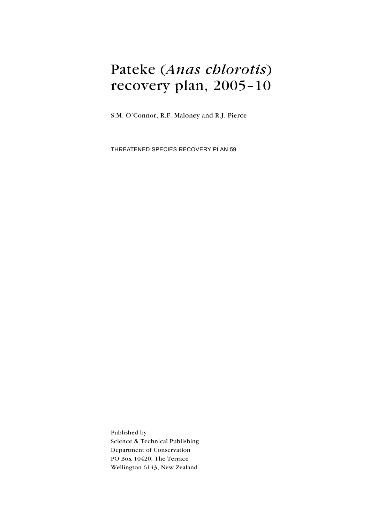# Pateke (Anas chlorotis) recovery plan, 2005–10

S.M. O'Connor, R.F. Maloney and R.J. Pierce

Threatened Species Recovery Plan 59

Published by Science & Technical Publishing Department of Conservation PO Box 10420, The Terrace Wellington 6143, New Zealand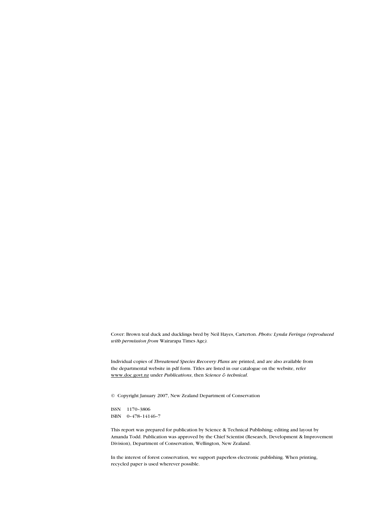Cover: Brown teal duck and ducklings bred by Neil Hayes, Carterton. Photo: Lynda Feringa (reproduced with permission from Wairarapa Times Age).

Individual copies of Threatened Species Recovery Plans are printed, and are also available from the departmental website in pdf form. Titles are listed in our catalogue on the website, refer www.doc.govt.nz under Publications, then Science & technical.

© Copyright January 2007, New Zealand Department of Conservation

ISSN 1170–3806 ISBN 0–478–14146–7

This report was prepared for publication by Science & Technical Publishing; editing and layout by Amanda Todd. Publication was approved by the Chief Scientist (Research, Development & Improvement Division), Department of Conservation, Wellington, New Zealand.

In the interest of forest conservation, we support paperless electronic publishing. When printing, recycled paper is used wherever possible.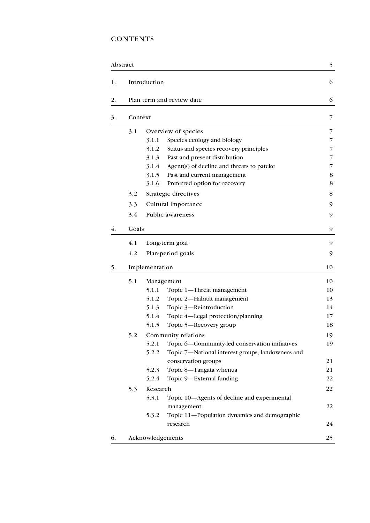## **CONTENTS**

|    | Abstract |                  | 5                                                |                |
|----|----------|------------------|--------------------------------------------------|----------------|
| 1. |          | Introduction     |                                                  | 6              |
| 2. |          |                  | Plan term and review date                        | 6              |
| 3. | Context  |                  |                                                  | 7              |
|    | 3.1      |                  | Overview of species                              | 7              |
|    |          | 3.1.1            | Species ecology and biology                      | 7              |
|    |          | 3.1.2            | Status and species recovery principles           | 7              |
|    |          | 3.1.3            | Past and present distribution                    | $\overline{7}$ |
|    |          | 3.1.4            | Agent(s) of decline and threats to pateke        | 7              |
|    |          | 3.1.5            | Past and current management                      | 8              |
|    |          | 3.1.6            | Preferred option for recovery                    | 8              |
|    | 3.2      |                  | Strategic directives                             | 8              |
|    | 3.3      |                  | Cultural importance                              | 9              |
|    | 3.4      |                  | Public awareness                                 | 9              |
| 4. | Goals    |                  |                                                  | 9              |
|    | 4.1      |                  | Long-term goal                                   | 9              |
|    | 4.2      |                  | Plan-period goals                                | 9              |
| 5. |          | Implementation   |                                                  | 10             |
|    | 5.1      |                  | Management                                       | 10             |
|    |          | 5.1.1            | Topic 1-Threat management                        | 10             |
|    |          | 5.1.2            | Topic 2-Habitat management                       | 13             |
|    |          | 5.1.3            | Topic 3-Reintroduction                           | 14             |
|    |          | 5.1.4            | Topic 4-Legal protection/planning                | 17             |
|    |          | 5.1.5            | Topic 5—Recovery group                           | 18             |
|    | 5.2      |                  | Community relations                              | 19             |
|    |          | 5.2.1            | Topic 6-Community-led conservation initiatives   | 19             |
|    |          | 5.2.2            | Topic 7-National interest groups, landowners and |                |
|    |          |                  | conservation groups                              | 21             |
|    |          | 5.2.3            | Topic 8-Tangata whenua                           | 21             |
|    |          | 5.2.4            | Topic 9-External funding                         | 22             |
|    | 5.3      | Research         |                                                  | 22             |
|    |          | 5.3.1            | Topic 10-Agents of decline and experimental      |                |
|    |          |                  | management                                       | 22             |
|    |          | 5.3.2            | Topic 11-Population dynamics and demographic     |                |
|    |          |                  | research                                         | 24             |
| 6. |          | Acknowledgements |                                                  | 25             |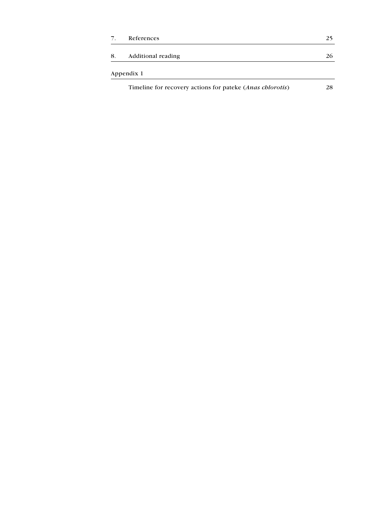| 7. | References                                                | 25 |
|----|-----------------------------------------------------------|----|
| 8. | Additional reading                                        | 26 |
|    | Appendix 1                                                |    |
|    | Timeline for recovery actions for pateke (Anas chlorotis) | 28 |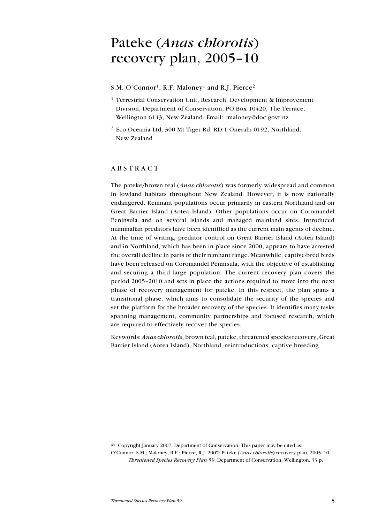## Pateke (Anas chlorotis) recovery plan, 2005–10

S.M. O'Connor<sup>1</sup>, R.F. Maloney<sup>1</sup> and R.J. Pierce<sup>2</sup>

- <sup>1</sup> Terrestrial Conservation Unit, Research, Development & Improvement Division, Department of Conservation, PO Box 10420, The Terrace, Wellington 6143, New Zealand. Email: rmaloney@doc.govt.nz
- 2 Eco Oceania Ltd, 300 Mt Tiger Rd, RD 1 Onerahi 0192, Northland, New Zealand

## **ABSTRACT**

The pateke/brown teal (*Anas chlorotis*) was formerly widespread and common in lowland habitats throughout New Zealand. However, it is now nationally endangered. Remnant populations occur primarily in eastern Northland and on Great Barrier Island (Aotea Island). Other populations occur on Coromandel Peninsula and on several islands and managed mainland sites. Introduced mammalian predators have been identified as the current main agents of decline. At the time of writing, predator control on Great Barrier Island (Aotea Island) and in Northland, which has been in place since 2000, appears to have arrested the overall decline in parts of their remnant range. Meanwhile, captive-bred birds have been released on Coromandel Peninsula, with the objective of establishing and securing a third large population. The current recovery plan covers the period 2005–2010 and sets in place the actions required to move into the next phase of recovery management for pateke. In this respect, the plan spans a transitional phase, which aims to consolidate the security of the species and set the platform for the broader recovery of the species. It identifies many tasks spanning management, community partnerships and focused research, which are required to effectively recover the species.

Keywords: Anas chlorotis, brown teal, pateke, threatened species recovery, Great Barrier Island (Aotea Island), Northland, reintroductions, captive breeding

© Copyright January 2007, Department of Conservation. This paper may be cited as: O'Connor, S.M.; Maloney, R.F.; Pierce, R.J. 2007: Pateke (Anas chlorotis) recovery plan, 2005–10. Threatened Species Recovery Plan 59. Department of Conservation, Wellington. 33 p.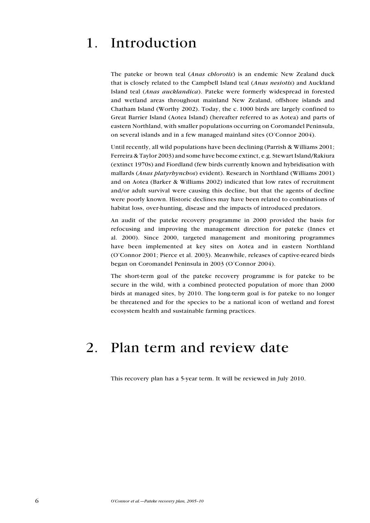## 1. Introduction

The pateke or brown teal (Anas chlorotis) is an endemic New Zealand duck that is closely related to the Campbell Island teal (Anas nesiotis) and Auckland Island teal (Anas aucklandica). Pateke were formerly widespread in forested and wetland areas throughout mainland New Zealand, offshore islands and Chatham Island (Worthy 2002). Today, the c. 1000 birds are largely confined to Great Barrier Island (Aotea Island) (hereafter referred to as Aotea) and parts of eastern Northland, with smaller populations occurring on Coromandel Peninsula, on several islands and in a few managed mainland sites (O'Connor 2004).

Until recently, all wild populations have been declining (Parrish & Williams 2001; Ferreira & Taylor 2003) and some have become extinct, e.g. Stewart Island/Rakiura (extinct 1970s) and Fiordland (few birds currently known and hybridisation with mallards (Anas platyrhynchos) evident). Research in Northland (Williams 2001) and on Aotea (Barker & Williams 2002) indicated that low rates of recruitment and/or adult survival were causing this decline, but that the agents of decline were poorly known. Historic declines may have been related to combinations of habitat loss, over-hunting, disease and the impacts of introduced predators.

An audit of the pateke recovery programme in 2000 provided the basis for refocusing and improving the management direction for pateke (Innes et al. 2000). Since 2000, targeted management and monitoring programmes have been implemented at key sites on Aotea and in eastern Northland (O'Connor 2001; Pierce et al. 2003). Meanwhile, releases of captive-reared birds began on Coromandel Peninsula in 2003 (O'Connor 2004).

The short-term goal of the pateke recovery programme is for pateke to be secure in the wild, with a combined protected population of more than 2000 birds at managed sites, by 2010. The long-term goal is for pateke to no longer be threatened and for the species to be a national icon of wetland and forest ecosystem health and sustainable farming practices.

## 2. Plan term and review date

This recovery plan has a 5-year term. It will be reviewed in July 2010.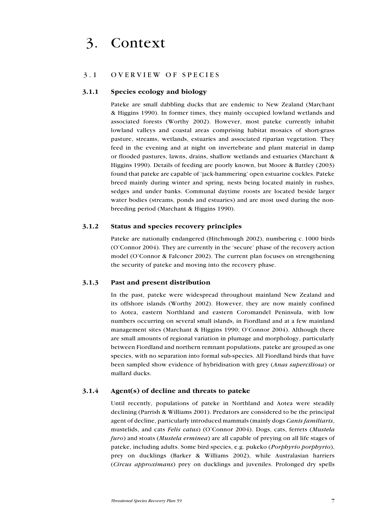## 3. Context

## 3.1 OVERVIEW OF SPECIES

### 3.1.1 Species ecology and biology

Pateke are small dabbling ducks that are endemic to New Zealand (Marchant & Higgins 1990). In former times, they mainly occupied lowland wetlands and associated forests (Worthy 2002). However, most pateke currently inhabit lowland valleys and coastal areas comprising habitat mosaics of short-grass pasture, streams, wetlands, estuaries and associated riparian vegetation. They feed in the evening and at night on invertebrate and plant material in damp or flooded pastures, lawns, drains, shallow wetlands and estuaries (Marchant & Higgins 1990). Details of feeding are poorly known, but Moore & Battley (2003) found that pateke are capable of 'jack-hammering' open estuarine cockles. Pateke breed mainly during winter and spring, nests being located mainly in rushes, sedges and under banks. Communal daytime roosts are located beside larger water bodies (streams, ponds and estuaries) and are most used during the nonbreeding period (Marchant & Higgins 1990).

### 3.1.2 Status and species recovery principles

Pateke are nationally endangered (Hitchmough 2002), numbering c. 1000 birds (O'Connor 2004). They are currently in the 'secure' phase of the recovery action model (O'Connor & Falconer 2002). The current plan focuses on strengthening the security of pateke and moving into the recovery phase.

### 3.1.3 Past and present distribution

In the past, pateke were widespread throughout mainland New Zealand and its offshore islands (Worthy 2002). However, they are now mainly confined to Aotea, eastern Northland and eastern Coromandel Peninsula, with low numbers occurring on several small islands, in Fiordland and at a few mainland management sites (Marchant & Higgins 1990; O'Connor 2004). Although there are small amounts of regional variation in plumage and morphology, particularly between Fiordland and northern remnant populations, pateke are grouped as one species, with no separation into formal sub-species. All Fiordland birds that have been sampled show evidence of hybridisation with grey (*Anas superciliosa*) or mallard ducks.

#### 3.1.4 Agent(s) of decline and threats to pateke

Until recently, populations of pateke in Northland and Aotea were steadily declining (Parrish & Williams 2001). Predators are considered to be the principal agent of decline, particularly introduced mammals (mainly dogs *Canis familiaris*, mustelids, and cats Felis catus) (O'Connor 2004). Dogs, cats, ferrets (Mustela furo) and stoats (Mustela erminea) are all capable of preying on all life stages of pateke, including adults. Some bird species, e.g. pukeko (Porphyrio porphyrio), prey on ducklings (Barker & Williams 2002), while Australasian harriers (Circus approximans) prey on ducklings and juveniles. Prolonged dry spells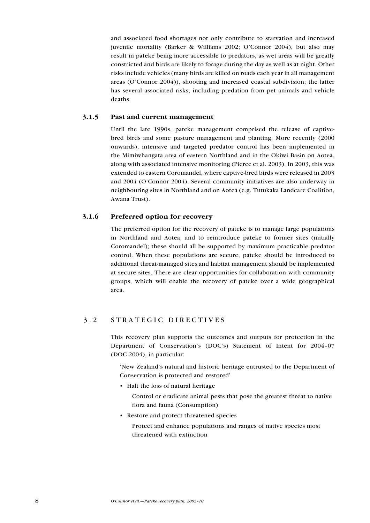and associated food shortages not only contribute to starvation and increased juvenile mortality (Barker & Williams 2002; O'Connor 2004), but also may result in pateke being more accessible to predators, as wet areas will be greatly constricted and birds are likely to forage during the day as well as at night. Other risks include vehicles (many birds are killed on roads each year in all management areas (O'Connor 2004)), shooting and increased coastal subdivision; the latter has several associated risks, including predation from pet animals and vehicle deaths.

## 3.1.5 Past and current management

Until the late 1990s, pateke management comprised the release of captivebred birds and some pasture management and planting. More recently (2000 onwards), intensive and targeted predator control has been implemented in the Mimiwhangata area of eastern Northland and in the Okiwi Basin on Aotea, along with associated intensive monitoring (Pierce et al. 2003). In 2003, this was extended to eastern Coromandel, where captive-bred birds were released in 2003 and 2004 (O'Connor 2004). Several community initiatives are also underway in neighbouring sites in Northland and on Aotea (e.g. Tutukaka Landcare Coalition, Awana Trust).

## 3.1.6 Preferred option for recovery

The preferred option for the recovery of pateke is to manage large populations in Northland and Aotea, and to reintroduce pateke to former sites (initially Coromandel); these should all be supported by maximum practicable predator control. When these populations are secure, pateke should be introduced to additional threat-managed sites and habitat management should be implemented at secure sites. There are clear opportunities for collaboration with community groups, which will enable the recovery of pateke over a wide geographical area.

## 3.2 STRATEGIC DIRECTIVES

This recovery plan supports the outcomes and outputs for protection in the Department of Conservation's (DOC's) Statement of Intent for 2004–07 (DOC 2004), in particular:

'New Zealand's natural and historic heritage entrusted to the Department of Conservation is protected and restored'

• Halt the loss of natural heritage

 Control or eradicate animal pests that pose the greatest threat to native flora and fauna (Consumption)

• Restore and protect threatened species

 Protect and enhance populations and ranges of native species most threatened with extinction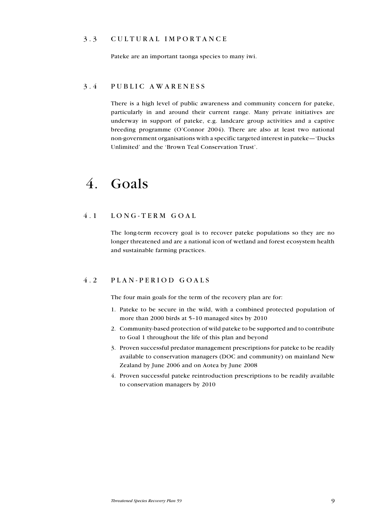## 3.3 CULTURAL IMPORTANCE

Pateke are an important taonga species to many iwi.

## 3 . 4 P ublic awar e n e ss

There is a high level of public awareness and community concern for pateke, particularly in and around their current range. Many private initiatives are underway in support of pateke, e.g. landcare group activities and a captive breeding programme (O'Connor 2004). There are also at least two national non-government organisations with a specific targeted interest in pateke—'Ducks Unlimited' and the 'Brown Teal Conservation Trust'.

## 4. Goals

## 4.1 LONG-TERM GOAL

The long-term recovery goal is to recover pateke populations so they are no longer threatened and are a national icon of wetland and forest ecosystem health and sustainable farming practices.

## 4 . 2 P lan - p e riod goals

The four main goals for the term of the recovery plan are for:

- 1. Pateke to be secure in the wild, with a combined protected population of more than 2000 birds at 5–10 managed sites by 2010
- 2. Community-based protection of wild pateke to be supported and to contribute to Goal 1 throughout the life of this plan and beyond
- 3. Proven successful predator management prescriptions for pateke to be readily available to conservation managers (DOC and community) on mainland New Zealand by June 2006 and on Aotea by June 2008
- 4. Proven successful pateke reintroduction prescriptions to be readily available to conservation managers by 2010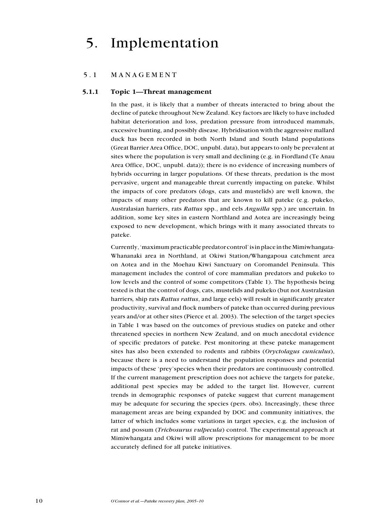# 5. Implementation

## 5.1 MANAGEMENT

### 5.1.1 Topic 1—Threat management

In the past, it is likely that a number of threats interacted to bring about the decline of pateke throughout New Zealand. Key factors are likely to have included habitat deterioration and loss, predation pressure from introduced mammals, excessive hunting, and possibly disease. Hybridisation with the aggressive mallard duck has been recorded in both North Island and South Island populations (Great Barrier Area Office, DOC, unpubl. data), but appears to only be prevalent at sites where the population is very small and declining (e.g. in Fiordland (Te Anau Area Office, DOC, unpubl. data)); there is no evidence of increasing numbers of hybrids occurring in larger populations. Of these threats, predation is the most pervasive, urgent and manageable threat currently impacting on pateke. Whilst the impacts of core predators (dogs, cats and mustelids) are well known, the impacts of many other predators that are known to kill pateke (e.g. pukeko, Australasian harriers, rats Rattus spp., and eels Anguilla spp.) are uncertain. In addition, some key sites in eastern Northland and Aotea are increasingly being exposed to new development, which brings with it many associated threats to pateke.

Currently, 'maximum practicable predator control' is in place in the Mimiwhangata-Whananaki area in Northland, at Okiwi Station/Whangapoua catchment area on Aotea and in the Moehau Kiwi Sanctuary on Coromandel Peninsula. This management includes the control of core mammalian predators and pukeko to low levels and the control of some competitors (Table 1). The hypothesis being tested is that the control of dogs, cats, mustelids and pukeko (but not Australasian harriers, ship rats Rattus rattus, and large eels) will result in significantly greater productivity, survival and flock numbers of pateke than occurred during previous years and/or at other sites (Pierce et al. 2003). The selection of the target species in Table 1 was based on the outcomes of previous studies on pateke and other threatened species in northern New Zealand, and on much anecdotal evidence of specific predators of pateke. Pest monitoring at these pateke management sites has also been extended to rodents and rabbits (Oryctolagus cuniculus), because there is a need to understand the population responses and potential impacts of these 'prey'species when their predators are continuously controlled. If the current management prescription does not achieve the targets for pateke, additional pest species may be added to the target list. However, current trends in demographic responses of pateke suggest that current management may be adequate for securing the species (pers. obs). Increasingly, these three management areas are being expanded by DOC and community initiatives, the latter of which includes some variations in target species, e.g. the inclusion of rat and possum (*Trichosurus vulpecula*) control. The experimental approach at Mimiwhangata and Okiwi will allow prescriptions for management to be more accurately defined for all pateke initiatives.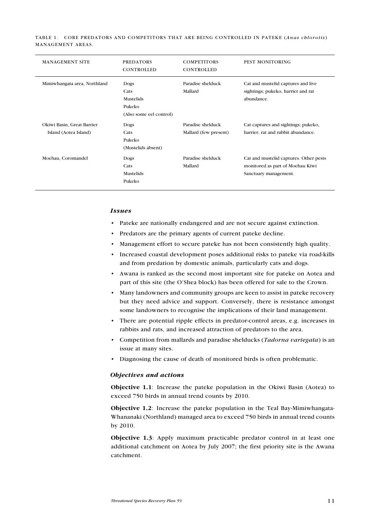Table 1. Core predators and competitors that are being controlled in pateke (Anas chlorotis) management areas.

| <b>MANAGEMENT SITE</b>                              | <b>PREDATORS</b><br>CONTROLLED                                 | <b>COMPETITORS</b><br>CONTROLLED           | PEST MONITORING                                                                                     |
|-----------------------------------------------------|----------------------------------------------------------------|--------------------------------------------|-----------------------------------------------------------------------------------------------------|
| Mimiwhangata area, Northland                        | Dogs<br>Cats<br>Mustelids<br>Pukeko<br>(Also some eel control) | Paradise shelduck<br>Mallard               | Cat and mustelid captures and live<br>sightings; pukeko, harrier and rat<br>abundance.              |
| Okiwi Basin, Great Barrier<br>Island (Aotea Island) | Dogs<br>Cats<br>Pukeko<br>(Mustelids absent)                   | Paradise shelduck<br>Mallard (few present) | Cat captures and sightings; pukeko,<br>harrier, rat and rabbit abundance.                           |
| Moehau, Coromandel                                  | Dogs<br>Cats<br>Mustelids<br>Pukeko                            | Paradise shelduck<br>Mallard               | Cat and mustelid captures. Other pests<br>monitored as part of Moehau Kiwi<br>Sanctuary management. |

#### Issues

- Pateke are nationally endangered and are not secure against extinction. •
- Predators are the primary agents of current pateke decline. •
- Management effort to secure pateke has not been consistently high quality. •
- Increased coastal development poses additional risks to pateke via road-kills and from predation by domestic animals, particularly cats and dogs.
- Awana is ranked as the second most important site for pateke on Aotea and part of this site (the O'Shea block) has been offered for sale to the Crown.
- Many landowners and community groups are keen to assist in pateke recovery but they need advice and support. Conversely, there is resistance amongst some landowners to recognise the implications of their land management. •
- There are potential ripple effects in predator-control areas, e.g. increases in rabbits and rats, and increased attraction of predators to the area.
- Competition from mallards and paradise shelducks (Tadorna variegata) is an issue at many sites.
- Diagnosing the cause of death of monitored birds is often problematic.

#### Objectives and actions

Objective 1.1: Increase the pateke population in the Okiwi Basin (Aotea) to exceed 750 birds in annual trend counts by 2010.

Objective 1.2: Increase the pateke population in the Teal Bay-Mimiwhangata-Whananaki (Northland) managed area to exceed 750 birds in annual trend counts by 2010.

Objective 1.3: Apply maximum practicable predator control in at least one additional catchment on Aotea by July 2007; the first priority site is the Awana catchment.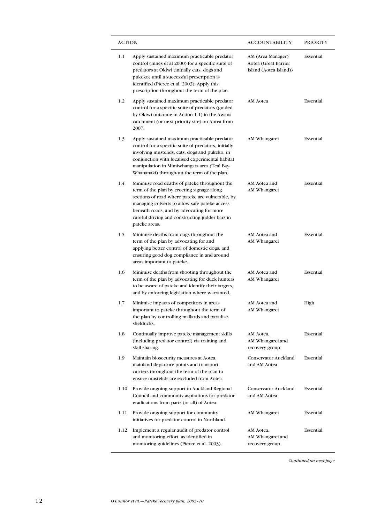| <b>ACTION</b> |                                                                                                                                                                                                                                                                                                                   | ACCOUNTABILITY                                                      | <b>PRIORITY</b> |
|---------------|-------------------------------------------------------------------------------------------------------------------------------------------------------------------------------------------------------------------------------------------------------------------------------------------------------------------|---------------------------------------------------------------------|-----------------|
| 1.1           | Apply sustained maximum practicable predator<br>control (Innes et al 2000) for a specific suite of<br>predators at Okiwi (initially cats, dogs and<br>pukeko) until a successful prescription is<br>identified (Pierce et al. 2003). Apply this<br>prescription throughout the term of the plan.                  | AM (Area Manager)<br>Aotea (Great Barrier<br>Island (Aotea Island)) | Essential       |
| 1.2           | Apply sustained maximum practicable predator<br>control for a specific suite of predators (guided<br>by Okiwi outcome in Action 1.1) in the Awana<br>catchment (or next priority site) on Aotea from<br>2007.                                                                                                     | AM Aotea                                                            | Essential       |
| 1.3           | Apply sustained maximum practicable predator<br>control for a specific suite of predators, initially<br>involving mustelids, cats, dogs and pukeko, in<br>conjunction with localised experimental habitat<br>manipulation in Mimiwhangata area (Teal Bay-<br>Whananaki) throughout the term of the plan.          | AM Whangarei                                                        | Essential       |
| 1.4           | Minimise road deaths of pateke throughout the<br>term of the plan by erecting signage along<br>sections of road where pateke are vulnerable, by<br>managing culverts to allow safe pateke access<br>beneath roads, and by advocating for more<br>careful driving and constructing judder bars in<br>pateke areas. | AM Aotea and<br>AM Whangarei                                        | Essential       |
| 1.5           | Minimise deaths from dogs throughout the<br>term of the plan by advocating for and<br>applying better control of domestic dogs, and<br>ensuring good dog compliance in and around<br>areas important to pateke.                                                                                                   | AM Aotea and<br>AM Whangarei                                        | Essential       |
| 1.6           | Minimise deaths from shooting throughout the<br>term of the plan by advocating for duck hunters<br>to be aware of pateke and identify their targets,<br>and by enforcing legislation where warranted.                                                                                                             | AM Aotea and<br>AM Whangarei                                        | Essential       |
| 1.7           | Minimise impacts of competitors in areas<br>important to pateke throughout the term of<br>the plan by controlling mallards and paradise<br>shelducks.                                                                                                                                                             | AM Aotea and<br>AM Whangarei                                        | High            |
| 1.8           | Continually improve pateke management skills<br>(including predator control) via training and<br>skill sharing.                                                                                                                                                                                                   | AM Aotea,<br>AM Whangarei and<br>recovery group                     | Essential       |
| 1.9           | Maintain biosecurity measures at Aotea,<br>mainland departure points and transport<br>carriers throughout the term of the plan to<br>ensure mustelids are excluded from Aotea.                                                                                                                                    | Conservator Auckland<br>and AM Aotea                                | Essential       |
| 1.10          | Provide ongoing support to Auckland Regional<br>Council and community aspirations for predator<br>eradications from parts (or all) of Aotea.                                                                                                                                                                      | Conservator Auckland<br>and AM Aotea                                | Essential       |
| 1.11          | Provide ongoing support for community<br>initiatives for predator control in Northland.                                                                                                                                                                                                                           | AM Whangarei                                                        | Essential       |
| 1.12          | Implement a regular audit of predator control<br>and monitoring effort, as identified in<br>monitoring guidelines (Pierce et al. 2003).                                                                                                                                                                           | AM Aotea,<br>AM Whangarei and<br>recovery group                     | Essential       |

Continued on next page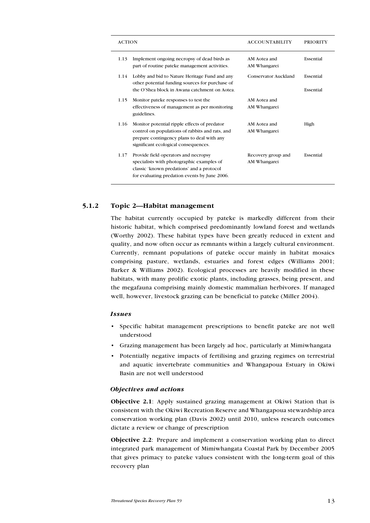| <b>ACTION</b>                                                                                                                                                                                 | <b>ACCOUNTABILITY</b>              | <b>PRIORITY</b>        |
|-----------------------------------------------------------------------------------------------------------------------------------------------------------------------------------------------|------------------------------------|------------------------|
| Implement ongoing necropsy of dead birds as<br>1.13<br>part of routine pateke management activities.                                                                                          | AM Aotea and<br>AM Whangarei       | Essential              |
| Lobby and bid to Nature Heritage Fund and any<br>1.14<br>other potential funding sources for purchase of<br>the O'Shea block in Awana catchment on Aotea.                                     | Conservator Auckland               | Essential<br>Essential |
| 1.15<br>Monitor pateke responses to test the<br>effectiveness of management as per monitoring<br>guidelines.                                                                                  | AM Aotea and<br>AM Whangarei       |                        |
| 1.16<br>Monitor potential ripple effects of predator<br>control on populations of rabbits and rats, and<br>prepare contingency plans to deal with any<br>significant ecological consequences. | AM Aotea and<br>AM Whangarei       | High                   |
| Provide field operators and necropsy<br>1.17<br>specialists with photographic examples of<br>classic 'known predations' and a protocol<br>for evaluating predation events by June 2006.       | Recovery group and<br>AM Whangarei | Essential              |

## 5.1.2 Topic 2—Habitat management

The habitat currently occupied by pateke is markedly different from their historic habitat, which comprised predominantly lowland forest and wetlands (Worthy 2002). These habitat types have been greatly reduced in extent and quality, and now often occur as remnants within a largely cultural environment. Currently, remnant populations of pateke occur mainly in habitat mosaics comprising pasture, wetlands, estuaries and forest edges (Williams 2001; Barker & Williams 2002). Ecological processes are heavily modified in these habitats, with many prolific exotic plants, including grasses, being present, and the megafauna comprising mainly domestic mammalian herbivores. If managed well, however, livestock grazing can be beneficial to pateke (Miller 2004).

#### **Issues**

- Specific habitat management prescriptions to benefit pateke are not well understood
- Grazing management has been largely ad hoc, particularly at Mimiwhangata •
- Potentially negative impacts of fertilising and grazing regimes on terrestrial and aquatic invertebrate communities and Whangapoua Estuary in Okiwi Basin are not well understood •

#### Objectives and actions

Objective 2.1: Apply sustained grazing management at Okiwi Station that is consistent with the Okiwi Recreation Reserve and Whangapoua stewardship area conservation working plan (Davis 2002) until 2010, unless research outcomes dictate a review or change of prescription

Objective 2.2: Prepare and implement a conservation working plan to direct integrated park management of Mimiwhangata Coastal Park by December 2005 that gives primacy to pateke values consistent with the long-term goal of this recovery plan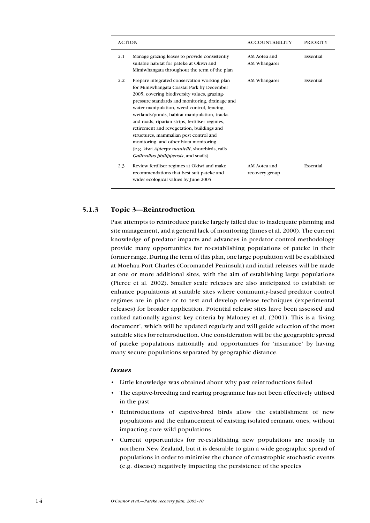| <b>ACTION</b>                                                                                                                                                                                                                                                                                                                                                                                                                                                                                                                                                                             | <b>ACCOUNTABILITY</b>          | <b>PRIORITY</b> |
|-------------------------------------------------------------------------------------------------------------------------------------------------------------------------------------------------------------------------------------------------------------------------------------------------------------------------------------------------------------------------------------------------------------------------------------------------------------------------------------------------------------------------------------------------------------------------------------------|--------------------------------|-----------------|
| 2.1<br>Manage grazing leases to provide consistently<br>suitable habitat for pateke at Okiwi and<br>Mimiwhangata throughout the term of the plan                                                                                                                                                                                                                                                                                                                                                                                                                                          | AM Aotea and<br>AM Whangarei   | Essential       |
| Prepare integrated conservation working plan<br>2.2<br>for Mimiwhangata Coastal Park by December<br>2005, covering biodiversity values, grazing-<br>pressure standards and monitoring, drainage and<br>water manipulation, weed control, fencing,<br>wetlands/ponds, habitat manipulation, tracks<br>and roads, riparian strips, fertiliser regimes,<br>retirement and revegetation, buildings and<br>structures, mammalian pest control and<br>monitoring, and other biota monitoring<br>(e.g. kiwi Apteryx mantelli, shorebirds, rails<br><i>Gallirallus philippensis</i> , and snails) | AM Whangarei                   | Essential       |
| 2.3<br>Review fertiliser regimes at Okiwi and make<br>recommendations that best suit pateke and<br>wider ecological values by June 2005                                                                                                                                                                                                                                                                                                                                                                                                                                                   | AM Aotea and<br>recovery group | Essential       |

## 5.1.3 Topic 3—Reintroduction

Past attempts to reintroduce pateke largely failed due to inadequate planning and site management, and a general lack of monitoring (Innes et al. 2000). The current knowledge of predator impacts and advances in predator control methodology provide many opportunities for re-establishing populations of pateke in their former range. During the term of this plan, one large population will be established at Moehau-Port Charles (Coromandel Peninsula) and initial releases will be made at one or more additional sites, with the aim of establishing large populations (Pierce et al. 2002). Smaller scale releases are also anticipated to establish or enhance populations at suitable sites where community-based predator control regimes are in place or to test and develop release techniques (experimental releases) for broader application. Potential release sites have been assessed and ranked nationally against key criteria by Maloney et al. (2001). This is a 'living document', which will be updated regularly and will guide selection of the most suitable sites for reintroduction. One consideration will be the geographic spread of pateke populations nationally and opportunities for 'insurance' by having many secure populations separated by geographic distance.

## Issues

- Little knowledge was obtained about why past reintroductions failed •
- The captive-breeding and rearing programme has not been effectively utilised in the past •
- Reintroductions of captive-bred birds allow the establishment of new populations and the enhancement of existing isolated remnant ones, without impacting core wild populations •
- Current opportunities for re-establishing new populations are mostly in northern New Zealand, but it is desirable to gain a wide geographic spread of populations in order to minimise the chance of catastrophic stochastic events (e.g. disease) negatively impacting the persistence of the species •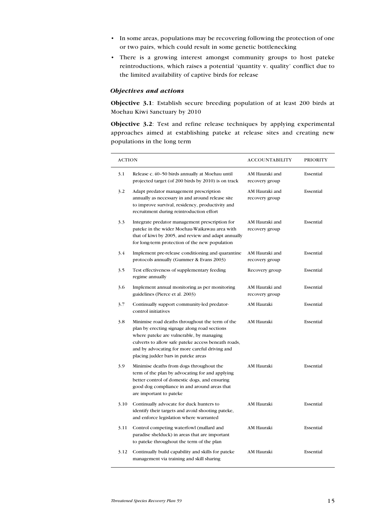- In some areas, populations may be recovering following the protection of one or two pairs, which could result in some genetic bottlenecking
- There is a growing interest amongst community groups to host pateke reintroductions, which raises a potential 'quantity v. quality' conflict due to the limited availability of captive birds for release

## Objectives and actions

Objective 3.1: Establish secure breeding population of at least 200 birds at Moehau Kiwi Sanctuary by 2010

Objective 3.2: Test and refine release techniques by applying experimental approaches aimed at establishing pateke at release sites and creating new populations in the long term

| <b>ACTION</b> |                                                                                                                                                                                                                                                                                             | ACCOUNTABILITY                   | <b>PRIORITY</b> |
|---------------|---------------------------------------------------------------------------------------------------------------------------------------------------------------------------------------------------------------------------------------------------------------------------------------------|----------------------------------|-----------------|
| 3.1           | Release c. 40-50 birds annually at Moehau until<br>projected target (of 200 birds by 2010) is on track                                                                                                                                                                                      | AM Hauraki and<br>recovery group | Essential       |
| 3.2           | Adapt predator management prescription<br>annually as necessary in and around release site<br>to improve survival, residency, productivity and<br>recruitment during reintroduction effort                                                                                                  | AM Hauraki and<br>recovery group | Essential       |
| 3.3           | Integrate predator management prescription for<br>pateke in the wider Moehau-Waikawau area with<br>that of kiwi by 2005, and review and adapt annually<br>for long-term protection of the new population                                                                                    | AM Hauraki and<br>recovery group | Essential       |
| 3.4           | Implement pre-release conditioning and quarantine<br>protocols annually (Gummer & Evans 2003)                                                                                                                                                                                               | AM Hauraki and<br>recovery group | Essential       |
| 3.5           | Test effectiveness of supplementary feeding<br>regime annually                                                                                                                                                                                                                              | Recovery group                   | Essential       |
| 3.6           | Implement annual monitoring as per monitoring<br>guidelines (Pierce et al. 2003)                                                                                                                                                                                                            | AM Hauraki and<br>recovery group | Essential       |
| 3.7           | Continually support community-led predator-<br>control initiatives                                                                                                                                                                                                                          | AM Hauraki                       | Essential       |
| 3.8           | Minimise road deaths throughout the term of the<br>plan by erecting signage along road sections<br>where pateke are vulnerable, by managing<br>culverts to allow safe pateke access beneath roads,<br>and by advocating for more careful driving and<br>placing judder bars in pateke areas | AM Hauraki                       | Essential       |
| 3.9           | Minimise deaths from dogs throughout the<br>term of the plan by advocating for and applying<br>better control of domestic dogs, and ensuring<br>good dog compliance in and around areas that<br>are important to pateke                                                                     | AM Hauraki                       | Essential       |
| 3.10          | Continually advocate for duck hunters to<br>identify their targets and avoid shooting pateke,<br>and enforce legislation where warranted                                                                                                                                                    | AM Hauraki                       | Essential       |
| 3.11          | Control competing waterfowl (mallard and<br>paradise shelduck) in areas that are important<br>to pateke throughout the term of the plan                                                                                                                                                     | AM Hauraki                       | Essential       |
| 3.12          | Continually build capability and skills for pateke<br>management via training and skill sharing                                                                                                                                                                                             | AM Hauraki                       | Essential       |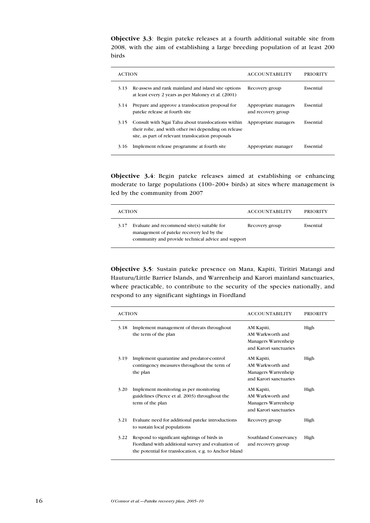Objective 3.3: Begin pateke releases at a fourth additional suitable site from 2008, with the aim of establishing a large breeding population of at least 200 birds

 $\overline{a}$ 

| <b>ACTION</b> |                                                                                                                                                                | <b>ACCOUNTABILITY</b>                      | PRIORITY  |
|---------------|----------------------------------------------------------------------------------------------------------------------------------------------------------------|--------------------------------------------|-----------|
| 3.13          | Re-assess and rank mainland and island site options<br>at least every 2 years as per Maloney et al. (2001)                                                     | Recovery group                             | Essential |
| 3.14          | Prepare and approve a translocation proposal for<br>pateke release at fourth site                                                                              | Appropriate managers<br>and recovery group | Essential |
| 3.15          | Consult with Ngai Tahu about translocations within<br>their rohe, and with other iwi depending on release<br>site, as part of relevant translocation proposals | Appropriate managers                       | Essential |
| 3.16          | Implement release programme at fourth site                                                                                                                     | Appropriate manager                        | Essential |

Objective 3.4: Begin pateke releases aimed at establishing or enhancing moderate to large populations (100–200+ birds) at sites where management is led by the community from 2007

| <b>ACTION</b>                                                                                                                                         | <b>ACCOUNTABILITY</b> | <b>PRIORITY</b> |
|-------------------------------------------------------------------------------------------------------------------------------------------------------|-----------------------|-----------------|
| Evaluate and recommend site(s) suitable for<br>3.17<br>management of pateke recovery led by the<br>community and provide technical advice and support | Recovery group        | Essential       |

Objective 3.5: Sustain pateke presence on Mana, Kapiti, Tiritiri Matangi and Hauturu/Little Barrier Islands, and Warrenheip and Karori mainland sanctuaries, where practicable, to contribute to the security of the species nationally, and respond to any significant sightings in Fiordland

| <b>ACTION</b> |                                                                                                                                                              | <b>ACCOUNTABILITY</b>                                                           | <b>PRIORITY</b> |
|---------------|--------------------------------------------------------------------------------------------------------------------------------------------------------------|---------------------------------------------------------------------------------|-----------------|
| 3.18          | Implement management of threats throughout<br>the term of the plan                                                                                           | AM Kapiti,<br>AM Warkworth and<br>Managers Warrenheip<br>and Karori sanctuaries | High            |
| 3.19          | Implement quarantine and predator-control<br>contingency measures throughout the term of<br>the plan                                                         | AM Kapiti,<br>AM Warkworth and<br>Managers Warrenheip<br>and Karori sanctuaries | High            |
| 3.20          | Implement monitoring as per monitoring<br>guidelines (Pierce et al. 2003) throughout the<br>term of the plan                                                 | AM Kapiti,<br>AM Warkworth and<br>Managers Warrenheip<br>and Karori sanctuaries | High            |
| 3.21          | Evaluate need for additional pateke introductions<br>to sustain local populations                                                                            | Recovery group                                                                  | High            |
| 3.22          | Respond to significant sightings of birds in<br>Fiordland with additional survey and evaluation of<br>the potential for translocation, e.g. to Anchor Island | Southland Conservancy<br>and recovery group                                     | High            |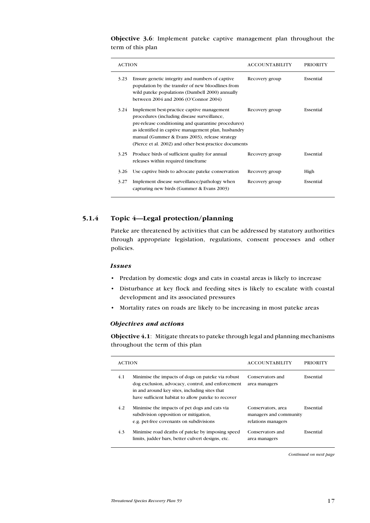Objective 3.6: Implement pateke captive management plan throughout the term of this plan

| <b>ACTION</b> |                                                                                                                                                                                                                                                                                                                     | <b>ACCOUNTABILITY</b> | <b>PRIORITY</b> |
|---------------|---------------------------------------------------------------------------------------------------------------------------------------------------------------------------------------------------------------------------------------------------------------------------------------------------------------------|-----------------------|-----------------|
| 3.23          | Ensure genetic integrity and numbers of captive<br>population by the transfer of new bloodlines from<br>wild pateke populations (Dumbell 2000) annually<br>between 2004 and 2006 (O'Connor 2004)                                                                                                                    | Recovery group        | Essential       |
| 3.24          | Implement best-practice captive management<br>procedures (including disease surveillance,<br>pre-release conditioning and quarantine procedures)<br>as identified in captive management plan, husbandry<br>manual (Gummer & Evans 2003), release strategy<br>(Pierce et al. 2002) and other best-practice documents | Recovery group        | Essential       |
| 3.25          | Produce birds of sufficient quality for annual<br>releases within required timeframe                                                                                                                                                                                                                                | Recovery group        | Essential       |
| 3.26          | Use captive birds to advocate pateke conservation                                                                                                                                                                                                                                                                   | Recovery group        | High            |
| 3.27          | Implement disease surveillance/pathology when<br>capturing new birds (Gummer & Evans 2003)                                                                                                                                                                                                                          | Recovery group        | Essential       |

## 5.1.4 Topic 4—Legal protection/planning

Pateke are threatened by activities that can be addressed by statutory authorities through appropriate legislation, regulations, consent processes and other policies.

#### Issues

- Predation by domestic dogs and cats in coastal areas is likely to increase
- Disturbance at key flock and feeding sites is likely to escalate with coastal development and its associated pressures
- Mortality rates on roads are likely to be increasing in most pateke areas

## Objectives and actions

Objective 4.1: Mitigate threats to pateke through legal and planning mechanisms throughout the term of this plan

| <b>ACTION</b> |                                                                                                                                                                                                               | <b>ACCOUNTABILITY</b>                                              | PRIORITY  |
|---------------|---------------------------------------------------------------------------------------------------------------------------------------------------------------------------------------------------------------|--------------------------------------------------------------------|-----------|
| 4.1           | Minimise the impacts of dogs on pateke via robust<br>dog exclusion, advocacy, control, and enforcement<br>in and around key sites, including sites that<br>have sufficient habitat to allow pateke to recover | Conservators and<br>area managers                                  | Essential |
| 4.2           | Minimise the impacts of pet dogs and cats via<br>subdivision opposition or mitigation,<br>e.g. pet-free covenants on subdivisions                                                                             | Conservators, area<br>managers and community<br>relations managers | Essential |
| 4.3           | Minimise road deaths of pateke by imposing speed<br>limits, judder bars, better culvert designs, etc.                                                                                                         | Conservators and<br>area managers                                  | Essential |

Continued on next page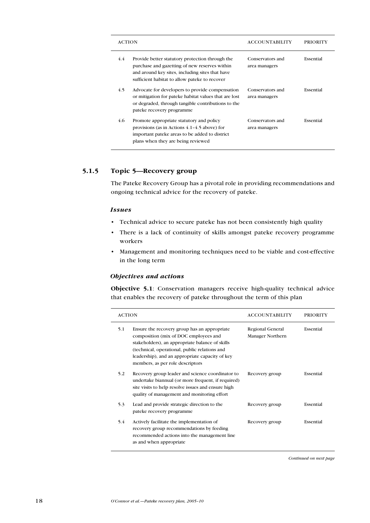| <b>ACTION</b> |                                                                                                                                                                                                      | <b>ACCOUNTABILITY</b>             | PRIORITY  |
|---------------|------------------------------------------------------------------------------------------------------------------------------------------------------------------------------------------------------|-----------------------------------|-----------|
| 4.4           | Provide better statutory protection through the<br>purchase and gazetting of new reserves within<br>and around key sites, including sites that have<br>sufficient habitat to allow pateke to recover | Conservators and<br>area managers | Essential |
| 4.5           | Advocate for developers to provide compensation<br>or mitigation for pateke habitat values that are lost<br>or degraded, through tangible contributions to the<br>pateke recovery programme          | Conservators and<br>area managers | Essential |
| 4.6           | Promote appropriate statutory and policy<br>provisions (as in Actions $4.1-4.5$ above) for<br>important pateke areas to be added to district<br>plans when they are being reviewed                   | Conservators and<br>area managers | Essential |

## 5.1.5 Topic 5—Recovery group

The Pateke Recovery Group has a pivotal role in providing recommendations and ongoing technical advice for the recovery of pateke.

#### Issues

- Technical advice to secure pateke has not been consistently high quality
- There is a lack of continuity of skills amongst pateke recovery programme workers •
- Management and monitoring techniques need to be viable and cost-effective in the long term •

### Objectives and actions

Objective 5.1: Conservation managers receive high-quality technical advice that enables the recovery of pateke throughout the term of this plan

| <b>ACTION</b> |                                                                                                                                                                                                                                                                                  | <b>ACCOUNTABILITY</b>                | <b>PRIORITY</b> |
|---------------|----------------------------------------------------------------------------------------------------------------------------------------------------------------------------------------------------------------------------------------------------------------------------------|--------------------------------------|-----------------|
| 5.1           | Ensure the recovery group has an appropriate<br>composition (mix of DOC employees and<br>stakeholders), an appropriate balance of skills<br>(technical, operational, public relations and<br>leadership), and an appropriate capacity of key<br>members, as per role descriptors | Regional General<br>Manager Northern | Essential       |
| 5.2           | Recovery group leader and science coordinator to<br>undertake biannual (or more frequent, if required)<br>site visits to help resolve issues and ensure high<br>quality of management and monitoring effort                                                                      | Recovery group                       | Essential       |
| 5.3           | Lead and provide strategic direction to the<br>pateke recovery programme                                                                                                                                                                                                         | Recovery group                       | Essential       |
| 5.4           | Actively facilitate the implementation of<br>recovery group recommendations by feeding<br>recommended actions into the management line<br>as and when appropriate                                                                                                                | Recovery group                       | Essential       |

Continued on next page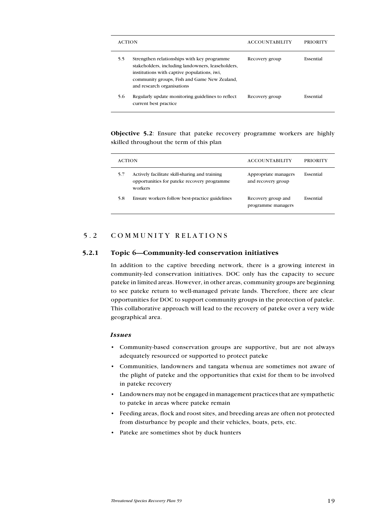| <b>ACTION</b> |                                                                                                                                                                                                                               | <b>ACCOUNTABILITY</b> | PRIORITY  |
|---------------|-------------------------------------------------------------------------------------------------------------------------------------------------------------------------------------------------------------------------------|-----------------------|-----------|
| 5.5           | Strengthen relationships with key programme<br>stakeholders, including landowners, leaseholders,<br>institutions with captive populations, iwi,<br>community groups, Fish and Game New Zealand,<br>and research organisations | Recovery group        | Essential |
| 5.6           | Regularly update monitoring guidelines to reflect<br>current best practice                                                                                                                                                    | Recovery group        | Essential |

Objective 5.2: Ensure that pateke recovery programme workers are highly skilled throughout the term of this plan

| <b>ACTION</b> |                                                                                                          | <b>ACCOUNTABILITY</b>                      | <b>PRIORITY</b> |
|---------------|----------------------------------------------------------------------------------------------------------|--------------------------------------------|-----------------|
| 5.7           | Actively facilitate skill-sharing and training<br>opportunities for pateke recovery programme<br>workers | Appropriate managers<br>and recovery group | Essential       |
| 5.8           | Ensure workers follow best-practice guidelines                                                           | Recovery group and<br>programme managers   | Essential       |

## 5.2 COMMUNITY RELATIONS

### 5.2.1 Topic 6—Community-led conservation initiatives

In addition to the captive breeding network, there is a growing interest in community-led conservation initiatives. DOC only has the capacity to secure pateke in limited areas. However, in other areas, community groups are beginning to see pateke return to well-managed private lands. Therefore, there are clear opportunities for DOC to support community groups in the protection of pateke. This collaborative approach will lead to the recovery of pateke over a very wide geographical area.

#### **Issues**

- Community-based conservation groups are supportive, but are not always adequately resourced or supported to protect pateke
- Communities, landowners and tangata whenua are sometimes not aware of the plight of pateke and the opportunities that exist for them to be involved in pateke recovery
- Landowners may not be engaged in management practices that are sympathetic to pateke in areas where pateke remain
- Feeding areas, flock and roost sites, and breeding areas are often not protected from disturbance by people and their vehicles, boats, pets, etc.
- Pateke are sometimes shot by duck hunters •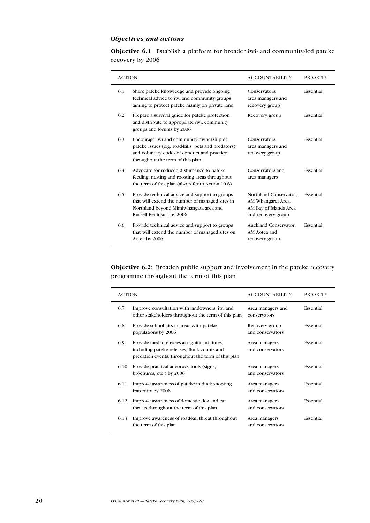## Objectives and actions

Objective 6.1: Establish a platform for broader iwi- and community-led pateke recovery by 2006

| <b>ACTION</b> |                                                                                                                                                                                    | <b>ACCOUNTABILITY</b>                                                                        | <b>PRIORITY</b> |
|---------------|------------------------------------------------------------------------------------------------------------------------------------------------------------------------------------|----------------------------------------------------------------------------------------------|-----------------|
| 6.1           | Share pateke knowledge and provide ongoing<br>technical advice to iwi and community groups<br>aiming to protect pateke mainly on private land                                      | Conservators,<br>area managers and<br>recovery group                                         | Essential       |
| 6.2           | Prepare a survival guide for pateke protection<br>and distribute to appropriate iwi, community<br>groups and forums by 2006                                                        | Recovery group                                                                               | Essential       |
| 6.3           | Encourage iwi and community ownership of<br>pateke issues (e.g. road-kills, pets and predators)<br>and voluntary codes of conduct and practice<br>throughout the term of this plan | Conservators,<br>area managers and<br>recovery group                                         | Essential       |
| 6.4           | Advocate for reduced disturbance to pateke<br>feeding, nesting and roosting areas throughout<br>the term of this plan (also refer to Action 10.6)                                  | Conservators and<br>area managers                                                            | Essential       |
| 6.5           | Provide technical advice and support to groups<br>that will extend the number of managed sites in<br>Northland beyond Mimiwhangata area and<br>Russell Peninsula by 2006           | Northland Conservator,<br>AM Whangarei Area,<br>AM Bay of Islands Area<br>and recovery group | Essential       |
| 6.6           | Provide technical advice and support to groups<br>that will extend the number of managed sites on<br>Aotea by 2006                                                                 | Auckland Conservator.<br>AM Aotea and<br>recovery group                                      | Essential       |

Objective 6.2: Broaden public support and involvement in the pateke recovery programme throughout the term of this plan

| <b>ACTION</b> |                                                                                                                                                   | <b>ACCOUNTABILITY</b>              | <b>PRIORITY</b> |
|---------------|---------------------------------------------------------------------------------------------------------------------------------------------------|------------------------------------|-----------------|
| 6.7           | Improve consultation with landowners, iwi and<br>other stakeholders throughout the term of this plan                                              | Area managers and<br>conservators  | Essential       |
| 6.8           | Provide school kits in areas with pateke<br>populations by 2006                                                                                   | Recovery group<br>and conservators | Essential       |
| 6.9           | Provide media releases at significant times,<br>including pateke releases, flock counts and<br>predation events, throughout the term of this plan | Area managers<br>and conservators  | Essential       |
| 6.10          | Provide practical advocacy tools (signs,<br>brochures, etc.) by 2006                                                                              | Area managers<br>and conservators  | Essential       |
| 6.11          | Improve awareness of pateke in duck shooting<br>fraternity by 2006                                                                                | Area managers<br>and conservators  | Essential       |
| 6.12          | Improve awareness of domestic dog and cat<br>threats throughout the term of this plan                                                             | Area managers<br>and conservators  | Essential       |
| 6.13          | Improve awareness of road-kill threat throughout<br>the term of this plan                                                                         | Area managers<br>and conservators  | Essential       |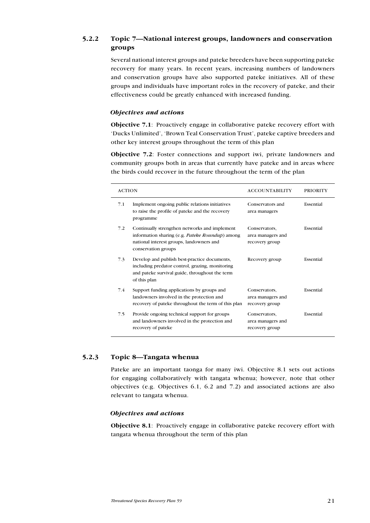## 5.2.2 Topic 7—National interest groups, landowners and conservation groups

Several national interest groups and pateke breeders have been supporting pateke recovery for many years. In recent years, increasing numbers of landowners and conservation groups have also supported pateke initiatives. All of these groups and individuals have important roles in the recovery of pateke, and their effectiveness could be greatly enhanced with increased funding.

### Objectives and actions

Objective 7.1: Proactively engage in collaborative pateke recovery effort with 'Ducks Unlimited', 'Brown Teal Conservation Trust', pateke captive breeders and other key interest groups throughout the term of this plan

Objective 7.2: Foster connections and support iwi, private landowners and community groups both in areas that currently have pateke and in areas where the birds could recover in the future throughout the term of the plan

| <b>ACTION</b> |                                                                                                                                                                     | <b>ACCOUNTABILITY</b>                                | <b>PRIORITY</b> |
|---------------|---------------------------------------------------------------------------------------------------------------------------------------------------------------------|------------------------------------------------------|-----------------|
| 7.1           | Implement ongoing public relations initiatives<br>to raise the profile of pateke and the recovery<br>programme                                                      | Conservators and<br>area managers                    | Essential       |
| 7.2           | Continually strengthen networks and implement<br>information sharing (e.g. Pateke Roundup) among<br>national interest groups, landowners and<br>conservation groups | Conservators,<br>area managers and<br>recovery group | Essential       |
| 7.3           | Develop and publish best-practice documents,<br>including predator control, grazing, monitoring<br>and pateke survival guide, throughout the term<br>of this plan   | Recovery group                                       | Essential       |
| 7.4           | Support funding applications by groups and<br>landowners involved in the protection and<br>recovery of pateke throughout the term of this plan                      | Conservators,<br>area managers and<br>recovery group | Essential       |
| 7.5           | Provide ongoing technical support for groups<br>and landowners involved in the protection and<br>recovery of pateke                                                 | Conservators,<br>area managers and<br>recovery group | Essential       |

## 5.2.3 Topic 8—Tangata whenua

Pateke are an important taonga for many iwi. Objective 8.1 sets out actions for engaging collaboratively with tangata whenua; however, note that other objectives (e.g. Objectives 6.1, 6.2 and 7.2) and associated actions are also relevant to tangata whenua.

## Objectives and actions

Objective 8.1: Proactively engage in collaborative pateke recovery effort with tangata whenua throughout the term of this plan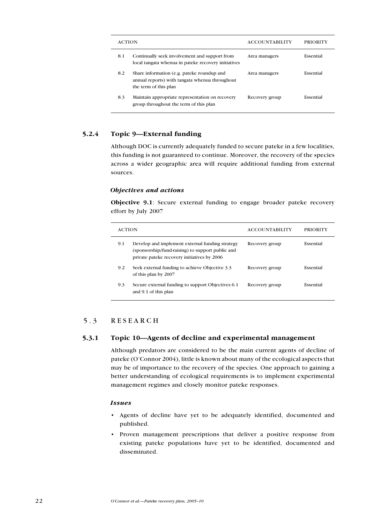| <b>ACTION</b> |                                                                                                                       | <b>ACCOUNTABILITY</b> | PRIORITY  |
|---------------|-----------------------------------------------------------------------------------------------------------------------|-----------------------|-----------|
| 8.1           | Continually seek involvement and support from<br>local tangata whenua in pateke recovery initiatives                  | Area managers         | Essential |
| 8.2           | Share information (e.g. pateke roundup and<br>annual reports) with tangata whenua throughout<br>the term of this plan | Area managers         | Essential |
| 8.3           | Maintain appropriate representation on recovery<br>group throughout the term of this plan                             | Recovery group        | Essential |

## 5.2.4 Topic 9—External funding

Although DOC is currently adequately funded to secure pateke in a few localities, this funding is not guaranteed to continue. Moreover, the recovery of the species across a wider geographic area will require additional funding from external sources.

## Objectives and actions

Objective 9.1: Secure external funding to engage broader pateke recovery effort by July 2007

| <b>ACTION</b> |                                                                                                                                                    | <b>ACCOUNTABILITY</b> | <b>PRIORITY</b> |
|---------------|----------------------------------------------------------------------------------------------------------------------------------------------------|-----------------------|-----------------|
| 9.1           | Develop and implement external funding strategy<br>(sponsorship/fund-raising) to support public and<br>private pateke recovery initiatives by 2006 | Recovery group        | Essential       |
| 9.2           | Seek external funding to achieve Objective 3.3<br>of this plan by 2007                                                                             | Recovery group        | Essential       |
| 9.3           | Secure external funding to support Objectives 6.1<br>and 9.1 of this plan                                                                          | Recovery group        | Essential       |

## 5.3 RESEARCH

## 5.3.1 Topic 10—Agents of decline and experimental management

Although predators are considered to be the main current agents of decline of pateke (O'Connor 2004), little is known about many of the ecological aspects that may be of importance to the recovery of the species. One approach to gaining a better understanding of ecological requirements is to implement experimental management regimes and closely monitor pateke responses.

### Issues

- Agents of decline have yet to be adequately identified, documented and published.
- Proven management prescriptions that deliver a positive response from existing pateke populations have yet to be identified, documented and disseminated.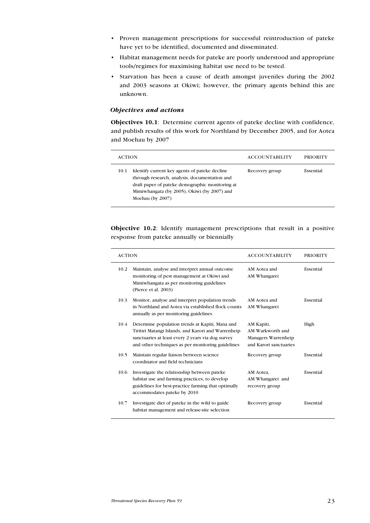- Proven management prescriptions for successful reintroduction of pateke have yet to be identified, documented and disseminated.
- Habitat management needs for pateke are poorly understood and appropriate tools/regimes for maximising habitat use need to be tested.
- Starvation has been a cause of death amongst juveniles during the 2002 and 2003 seasons at Okiwi; however, the primary agents behind this are unknown.

### Objectives and actions

Objectives 10.1: Determine current agents of pateke decline with confidence, and publish results of this work for Northland by December 2005, and for Aotea and Moehau by 2007

| <b>ACTION</b>                                                                                                                                                                                                                | <b>ACCOUNTABILITY</b> | <b>PRIORITY</b> |
|------------------------------------------------------------------------------------------------------------------------------------------------------------------------------------------------------------------------------|-----------------------|-----------------|
| Identify current key agents of pateke decline<br>10.1<br>through research, analysis, documentation and<br>draft paper of pateke demographic monitoring at<br>Mimiwhangata (by 2005), Okiwi (by 2007) and<br>Moehau (by 2007) | Recovery group        | Essential       |

Objective 10.2: Identify management prescriptions that result in a positive response from pateke annually or biennially

| <b>ACTION</b> |                                                                                                                                                                                                                  | <b>ACCOUNTABILITY</b>                                                           | <b>PRIORITY</b> |
|---------------|------------------------------------------------------------------------------------------------------------------------------------------------------------------------------------------------------------------|---------------------------------------------------------------------------------|-----------------|
| 10.2          | Maintain, analyse and interpret annual outcome<br>monitoring of pest management at Okiwi and<br>Mimiwhangata as per monitoring guidelines<br>(Pierce et al. 2003)                                                | AM Aotea and<br>AM Whangarei                                                    | Essential       |
| 10.3          | Monitor, analyse and interpret population trends<br>in Northland and Aotea via established flock counts<br>annually as per monitoring guidelines                                                                 | AM Aotea and<br>AM Whangarei                                                    | Essential       |
| 10.4          | Determine population trends at Kapiti, Mana and<br>Tiritiri Matangi Islands, and Karori and Warrenheip<br>sanctuaries at least every 2 years via dog survey<br>and other techniques as per monitoring guidelines | AM Kapiti,<br>AM Warkworth and<br>Managers Warrenheip<br>and Karori sanctuaries | High            |
| 10.5          | Maintain regular liaison between science<br>coordinator and field technicians                                                                                                                                    | Recovery group                                                                  | Essential       |
| 10.6          | Investigate the relationship between pateke<br>habitat use and farming practices, to develop<br>guidelines for best-practice farming that optimally<br>accommodates pateke by 2010                               | AM Aotea,<br>AM Whangarei and<br>recovery group                                 | Essential       |
| 10.7          | Investigate diet of pateke in the wild to guide<br>habitat management and release-site selection                                                                                                                 | Recovery group                                                                  | Essential       |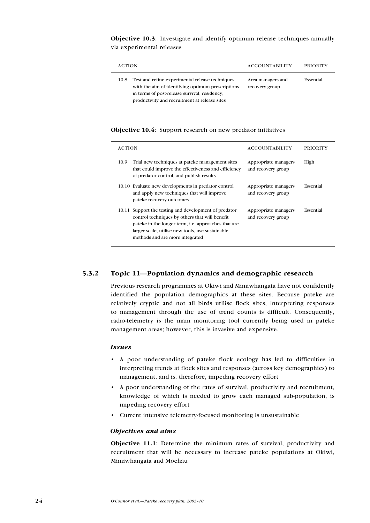Objective 10.3: Investigate and identify optimum release techniques annually via experimental releases

| <b>ACTION</b>                                                                                                                                                                                                  | <b>ACCOUNTABILITY</b>               | PRIORITY  |
|----------------------------------------------------------------------------------------------------------------------------------------------------------------------------------------------------------------|-------------------------------------|-----------|
| Test and refine experimental release techniques<br>10.8<br>with the aim of identifying optimum prescriptions<br>in terms of post-release survival, residency,<br>productivity and recruitment at release sites | Area managers and<br>recovery group | Essential |

#### Objective 10.4: Support research on new predator initiatives

| <b>ACTION</b>                                                                                                                                                                                                                                                   | <b>ACCOUNTABILITY</b>                      | <b>PRIORITY</b> |
|-----------------------------------------------------------------------------------------------------------------------------------------------------------------------------------------------------------------------------------------------------------------|--------------------------------------------|-----------------|
| Trial new techniques at pateke management sites<br>10.9<br>that could improve the effectiveness and efficiency<br>of predator control, and publish results                                                                                                      | Appropriate managers<br>and recovery group | High            |
| 10.10 Evaluate new developments in predator control<br>and apply new techniques that will improve<br>pateke recovery outcomes                                                                                                                                   | Appropriate managers<br>and recovery group | Essential       |
| Support the testing and development of predator<br>10.11<br>control techniques by others that will benefit<br>pateke in the longer term, <i>i.e.</i> approaches that are<br>larger scale, utilise new tools, use sustainable<br>methods and are more integrated | Appropriate managers<br>and recovery group | Essential       |

### 5.3.2 Topic 11—Population dynamics and demographic research

Previous research programmes at Okiwi and Mimiwhangata have not confidently identified the population demographics at these sites. Because pateke are relatively cryptic and not all birds utilise flock sites, interpreting responses to management through the use of trend counts is difficult. Consequently, radio-telemetry is the main monitoring tool currently being used in pateke management areas; however, this is invasive and expensive.

#### Issues

- A poor understanding of pateke flock ecology has led to difficulties in interpreting trends at flock sites and responses (across key demographics) to management, and is, therefore, impeding recovery effort
- A poor understanding of the rates of survival, productivity and recruitment, knowledge of which is needed to grow each managed sub-population, is impeding recovery effort
- Current intensive telemetry-focused monitoring is unsustainable •

## Objectives and aims

Objective 11.1: Determine the minimum rates of survival, productivity and recruitment that will be necessary to increase pateke populations at Okiwi, Mimiwhangata and Moehau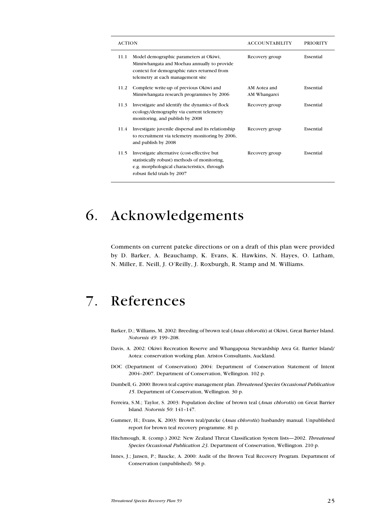| <b>ACTION</b>                                                                                                                                                                     | <b>ACCOUNTABILITY</b>        | <b>PRIORITY</b> |
|-----------------------------------------------------------------------------------------------------------------------------------------------------------------------------------|------------------------------|-----------------|
| 11.1<br>Model demographic parameters at Okiwi,<br>Mimiwhangata and Moehau annually to provide<br>context for demographic rates returned from<br>telemetry at each management site | Recovery group               | Essential       |
| Complete write up of previous Okiwi and<br>11.2<br>Mimiwhangata research programmes by 2006                                                                                       | AM Aotea and<br>AM Whangarei | Essential       |
| Investigate and identify the dynamics of flock<br>11.3<br>ecology/demography via current telemetry<br>monitoring, and publish by 2008                                             | Recovery group               | Essential       |
| Investigate juvenile dispersal and its relationship<br>11.4<br>to recruitment via telemetry monitoring by 2006,<br>and publish by 2008                                            | Recovery group               | Essential       |
| 11.5<br>Investigate alternative (cost-effective but<br>statistically robust) methods of monitoring,<br>e.g. morphological characteristics, through<br>robust field trials by 2007 | Recovery group               | Essential       |

## 6. Acknowledgements

Comments on current pateke directions or on a draft of this plan were provided by D. Barker, A. Beauchamp, K. Evans, K. Hawkins, N. Hayes, O. Latham, N. Miller, E. Neill, J. O'Reilly, J. Roxburgh, R. Stamp and M. Williams.

## 7. References

- Barker, D.; Williams, M. 2002: Breeding of brown teal (Anas chlorotis) at Okiwi, Great Barrier Island. Notornis 49: 199–208.
- Davis, A. 2002: Okiwi Recreation Reserve and Whangapoua Stewardship Area Gt. Barrier Island/ Aotea: conservation working plan. Aristos Consultants, Auckland.
- DOC (Department of Conservation) 2004: Department of Conservation Statement of Intent 2004–2007. Department of Conservation, Wellington. 102 p.
- Dumbell, G. 2000: Brown teal captive management plan. Threatened Species Occasional Publication 15. Department of Conservation, Wellington. 30 p.
- Ferreira, S.M.; Taylor, S. 2003: Population decline of brown teal (Anas chlorotis) on Great Barrier Island. Notornis 50: 141–147.
- Gummer, H.; Evans, K. 2003: Brown teal/pateke (Anas chlorotis) husbandry manual. Unpublished report for brown teal recovery programme. 81 p.
- Hitchmough, R. (comp.) 2002: New Zealand Threat Classification System lists—2002. Threatened Species Occasional Publication 23. Department of Conservation, Wellington. 210 p.
- Innes, J.; Jansen, P.; Baucke, A. 2000: Audit of the Brown Teal Recovery Program. Department of Conservation (unpublished). 58 p.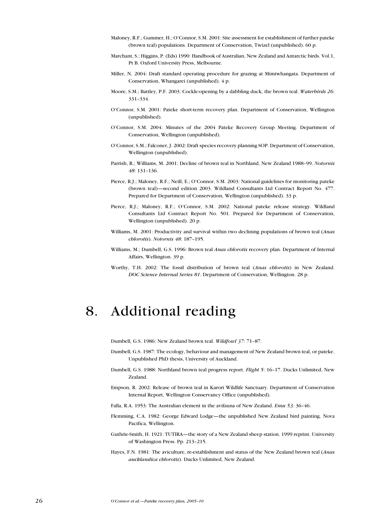- Maloney, R.F.; Gummer, H.; O'Connor, S.M. 2001: Site assessment for establishment of further pateke (brown teal) populations. Department of Conservation, Twizel (unpublished). 60 p.
- Marchant, S.; Higgins, P. (Eds) 1990: Handbook of Australian, New Zealand and Antarctic birds. Vol.1, Pt B. Oxford University Press, Melbourne.
- Miller, N. 2004: Draft standard operating procedure for grazing at Mimiwhangata. Department of Conservation, Whangarei (unpublished). 4 p.
- Moore, S.M.; Battley, P.F. 2003: Cockle-opening by a dabbling duck, the brown teal. Waterbirds 26: 331–334.
- O'Connor, S.M. 2001: Pateke short-term recovery plan. Department of Conservation, Wellington (unpublished).
- O'Connor, S.M. 2004: Minutes of the 2004 Pateke Recovery Group Meeting. Department of Conservation, Wellington (unpublished).
- O'Connor, S.M.; Falconer, J. 2002: Draft species recovery planning SOP. Department of Conservation, Wellington (unpublished).
- Parrish, R.; Williams, M. 2001: Decline of brown teal in Northland, New Zealand 1988–99. Notornis 48: 131–136.
- Pierce, R.J.; Maloney, R.F.; Neill, E.; O'Connor, S.M. 2003: National guidelines for monitoring pateke (brown teal)—second edition 2003. Wildland Consultants Ltd Contract Report No. 477. Prepared for Department of Conservation, Wellington (unpublished). 33 p.
- Pierce, R.J.; Maloney, R.F.; O'Connor, S.M. 2002: National pateke release strategy. Wildland Consultants Ltd Contract Report No. 501. Prepared for Department of Conservation, Wellington (unpublished). 20 p.
- Williams, M. 2001: Productivity and survival within two declining populations of brown teal (Anas chlorotis). Notornis 48: 187–195.
- Williams, M.; Dumbell, G.S. 1996: Brown teal Anas chlorotis recovery plan. Department of Internal Affairs, Wellington. 39 p.
- Worthy, T.H. 2002: The fossil distribution of brown teal (Anas chlorotis) in New Zealand. DOC Science Internal Series 81. Department of Conservation, Wellington. 28 p.

## 8. Additional reading

Dumbell, G.S. 1986: New Zealand brown teal. Wildfowl 37: 71–87.

- Dumbell, G.S. 1987: The ecology, behaviour and management of New Zealand brown teal, or pateke. Unpublished PhD thesis, University of Auckland.
- Dumbell, G.S. 1988: Northland brown teal progress report. Flight 5: 16-17. Ducks Unlimited, New Zealand.
- Empson, R. 2002: Release of brown teal in Karori Wildlife Sanctuary. Department of Conservation Internal Report, Wellington Conservancy Office (unpublished).
- Falla, R.A. 1953: The Australian element in the avifauna of New Zealand. Emu 53: 36-46.
- Flemming, C.A. 1982: George Edward Lodge—the unpublished New Zealand bird painting. Nova Pacifica, Wellington.
- Guthrie-Smith, H. 1921: TUTIRA—the story of a New Zealand sheep station. 1999 reprint. University of Washington Press. Pp. 213–215.
- Hayes, F.N. 1981: The aviculture, re-establishment and status of the New Zealand brown teal (Anas aucklandica chlorotis). Ducks Unlimited, New Zealand.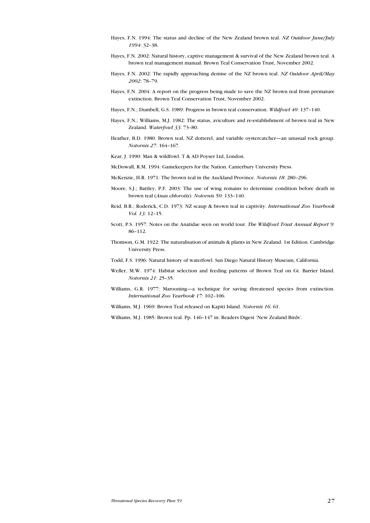- Hayes, F.N. 1994: The status and decline of the New Zealand brown teal. NZ Outdoor June/July 1994: 32–38.
- Hayes, F.N. 2002: Natural history, captive management & survival of the New Zealand brown teal. A brown teal management manual. Brown Teal Conservation Trust, November 2002.
- Hayes, F.N. 2002: The rapidly approaching demise of the NZ brown teal. NZ Outdoor April/May 2002: 78–79.
- Hayes, F.N. 2004: A report on the progress being made to save the NZ brown teal from premature extinction. Brown Teal Conservation Trust, November 2002.
- Hayes, F.N.; Dumbell, G.S. 1989: Progress in brown teal conservation. Wildfowl 40: 137–140.
- Hayes, F.N.; Williams, M.J. 1982: The status, aviculture and re-establishment of brown teal in New Zealand. Waterfowl 33: 73–80.
- Heather, B.D. 1980: Brown teal, NZ dotterel, and variable oystercatcher—an unusual rock group. Notornis 27: 164–167.
- Kear, J. 1990: Man & wildfowl. T & AD Poyser Ltd, London.
- McDowall, R.M. 1994: Gamekeepers for the Nation. Canterbury University Press.
- McKenzie, H.R. 1971: The brown teal in the Auckland Province. Notornis 18: 280–296.
- Moore, S.J.; Battley, P.F. 2003: The use of wing remains to determine condition before death in brown teal (Anas chlorotis). Notornis 50: 133–140.
- Reid, B.R.; Roderick, C.D. 1973: NZ scaup & brown teal in captivity. International Zoo Yearbook Vol. 13: 12–15.
- Scott, P.S. 1957: Notes on the Anatidae seen on world tour. The Wildfowl Trust Annual Report 9: 86–112.
- Thomson, G.M. 1922: The naturalisation of animals & plants in New Zealand. 1st Edition. Cambridge University Press.
- Todd, F.S. 1996: Natural history of waterfowl. San Diego Natural History Museum, California.
- Weller, M.W. 1974: Habitat selection and feeding patterns of Brown Teal on Gt. Barrier Island. Notornis 21: 25–35.
- Williams, G.R. 1977: Marooning—a technique for saving threatened species from extinction. International Zoo Yearbook 17: 102–106.
- Williams, M.J. 1969: Brown Teal released on Kapiti Island. Notornis 16: 61.
- Williams, M.J. 1985: Brown teal. Pp. 146–147 in: Readers Digest 'New Zealand Birds'.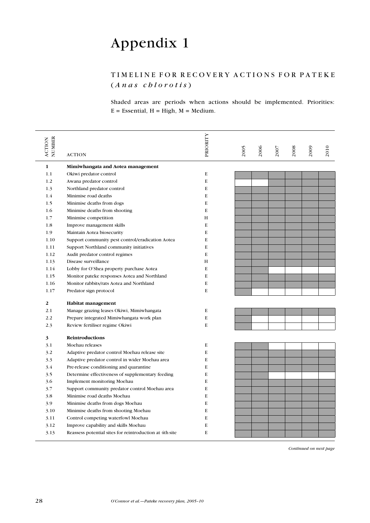# Appendix 1

## TIMELINE FOR RECOVERY ACTIONS FOR PATEKE  $(A \, n \, a \, s \, chlorotis)$

Shaded areas are periods when actions should be implemented. Priorities:  $E = E$ ssential,  $H = High$ ,  $M = Medium$ .

| NUMBER<br><b>ACTION</b> | <b>ACTION</b>                                           | PRIORITY    | 2005 | 2006 | 2007 | 2008 | 2009 | 2010 |
|-------------------------|---------------------------------------------------------|-------------|------|------|------|------|------|------|
| 1                       | Mimiwhangata and Aotea management                       |             |      |      |      |      |      |      |
| 1.1                     | Okiwi predator control                                  | E           |      |      |      |      |      |      |
| 1.2                     | Awana predator control                                  | $\mathbf E$ |      |      |      |      |      |      |
| 1.3                     | Northland predator control                              | E           |      |      |      |      |      |      |
| 1.4                     | Minimise road deaths                                    | E           |      |      |      |      |      |      |
| 1.5                     | Minimise deaths from dogs                               | E           |      |      |      |      |      |      |
| 1.6                     | Minimise deaths from shooting                           | E           |      |      |      |      |      |      |
| 1.7                     | Minimise competition                                    | H           |      |      |      |      |      |      |
| 1.8                     | Improve management skills                               | E           |      |      |      |      |      |      |
| 1.9                     | Maintain Aotea biosecurity                              | E           |      |      |      |      |      |      |
| 1.10                    | Support community pest control/eradication Aotea        | E           |      |      |      |      |      |      |
| 1.11                    | Support Northland community initiatives                 | E           |      |      |      |      |      |      |
| 1.12                    | Audit predator control regimes                          | E           |      |      |      |      |      |      |
| 1.13                    | Disease surveillance                                    | Н           |      |      |      |      |      |      |
| 1.14                    | Lobby for O'Shea property purchase Aotea                | E           |      |      |      |      |      |      |
| 1.15                    | Monitor pateke responses Aotea and Northland            | E           |      |      |      |      |      |      |
| 1.16                    | Monitor rabbits/rats Aotea and Northland                | E           |      |      |      |      |      |      |
| 1.17                    | Predator sign protocol                                  | E           |      |      |      |      |      |      |
| 2                       | Habitat management                                      |             |      |      |      |      |      |      |
| 2.1                     | Manage grazing leases Okiwi, Mimiwhangata               | E           |      |      |      |      |      |      |
| 2.2                     | Prepare integrated Mimiwhangata work plan               | E           |      |      |      |      |      |      |
| 2.3                     | Review fertiliser regime Okiwi                          | E           |      |      |      |      |      |      |
| 3                       | Reintroductions                                         |             |      |      |      |      |      |      |
| 3.1                     | Moehau releases                                         | E           |      |      |      |      |      |      |
| 3.2                     | Adaptive predator control Moehau release site           | E           |      |      |      |      |      |      |
| 3.3                     | Adaptive predator control in wider Moehau area          | E           |      |      |      |      |      |      |
| 3.4                     | Pre-release conditioning and quarantine                 | E           |      |      |      |      |      |      |
| 3.5                     | Determine effectiveness of supplementary feeding        | E           |      |      |      |      |      |      |
| 3.6                     | Implement monitoring Moehau                             | E           |      |      |      |      |      |      |
| 3.7                     | Support community predator control Moehau area          | E           |      |      |      |      |      |      |
| 3.8                     | Minimise road deaths Moehau                             | E           |      |      |      |      |      |      |
| 3.9                     | Minimise deaths from dogs Moehau                        | E           |      |      |      |      |      |      |
| 3.10                    | Minimise deaths from shooting Moehau                    | E           |      |      |      |      |      |      |
| 3.11                    | Control competing waterfowl Moehau                      | E           |      |      |      |      |      |      |
| 3.12                    | Improve capability and skills Moehau                    | E           |      |      |      |      |      |      |
| 3.13                    | Reassess potential sites for reintroduction at 4th site | E           |      |      |      |      |      |      |
|                         |                                                         |             |      |      |      |      |      |      |

Continued on next page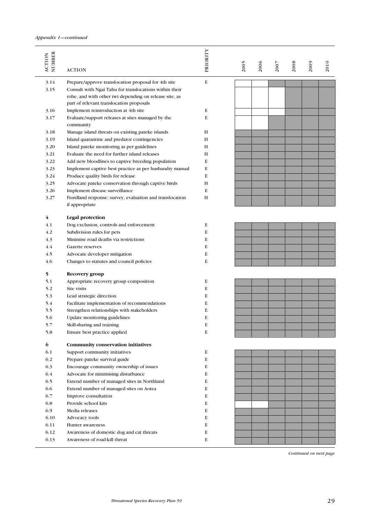| NUMBER<br><b>ACTION</b> | <b>ACTION</b>                                                                                                                                                | PRIORITY | 2005 | 2006 | 2007 | 2008 | 2009 | 2010 |
|-------------------------|--------------------------------------------------------------------------------------------------------------------------------------------------------------|----------|------|------|------|------|------|------|
| 3.14                    | Prepare/approve translocation proposal for 4th site                                                                                                          | E        |      |      |      |      |      |      |
| 3.15                    | Consult with Ngai Tahu for translocations within their<br>rohe, and with other iwi depending on release site, as<br>part of relevant translocation proposals |          |      |      |      |      |      |      |
| 3.16                    | Implement reintroduction at 4th site                                                                                                                         | E        |      |      |      |      |      |      |
| 3.17                    | Evaluate/support releases at sites managed by the<br>community                                                                                               | E        |      |      |      |      |      |      |
| 3.18                    | Manage island threats on existing pateke islands                                                                                                             | H        |      |      |      |      |      |      |
| 3.19                    | Island quarantine and predator contingencies                                                                                                                 | H        |      |      |      |      |      |      |
| 3.20                    | Island pateke monitoring as per guidelines                                                                                                                   | H        |      |      |      |      |      |      |
| 3.21                    | Evaluate the need for further island releases                                                                                                                | H        |      |      |      |      |      |      |
| 3.22                    | Add new bloodlines to captive breeding population                                                                                                            | E        |      |      |      |      |      |      |
| 3.23                    | Implement captive best practice as per husbandry manual                                                                                                      | E        |      |      |      |      |      |      |
| 3.24                    | Produce quality birds for release                                                                                                                            | E        |      |      |      |      |      |      |
| 3.25                    | Advocate pateke conservation through captive birds                                                                                                           | H        |      |      |      |      |      |      |
| 3.26                    | Implement disease surveillance                                                                                                                               | E        |      |      |      |      |      |      |
| 3.27                    | Fiordland response: survey, evaluation and translocation<br>if appropriate                                                                                   | H        |      |      |      |      |      |      |
| 4                       | Legal protection                                                                                                                                             |          |      |      |      |      |      |      |
| 4.1                     | Dog exclusion, controls and enforcement                                                                                                                      | E        |      |      |      |      |      |      |
| 4.2                     | Subdivision rules for pets                                                                                                                                   | E        |      |      |      |      |      |      |
| 4.3                     | Minimise road deaths via restrictions                                                                                                                        | E        |      |      |      |      |      |      |
| 4.4                     | Gazette reserves                                                                                                                                             | E        |      |      |      |      |      |      |
| 4.5                     | Advocate developer mitigation                                                                                                                                | E        |      |      |      |      |      |      |
| 4.6                     | Changes to statutes and council policies                                                                                                                     | E        |      |      |      |      |      |      |
| 5                       | Recovery group                                                                                                                                               |          |      |      |      |      |      |      |
| 5.1                     | Appropriate recovery group composition                                                                                                                       | E        |      |      |      |      |      |      |
| 5.2                     | Site visits                                                                                                                                                  | E        |      |      |      |      |      |      |
| 5.3                     | Lead strategic direction                                                                                                                                     | E        |      |      |      |      |      |      |
| 5.4                     | Facilitate implementation of recommendations                                                                                                                 | E        |      |      |      |      |      |      |
| 5.5                     | Strengthen relationships with stakeholders                                                                                                                   | E        |      |      |      |      |      |      |
| 5.6                     | Update monitoring guidelines                                                                                                                                 | E        |      |      |      |      |      |      |
| 5.7                     | Skill-sharing and training                                                                                                                                   | E        |      |      |      |      |      |      |
| 5.8                     | Ensure best practice applied                                                                                                                                 | E        |      |      |      |      |      |      |
| 6                       | Community conservation initiatives                                                                                                                           |          |      |      |      |      |      |      |
| 6.1                     | Support community initiatives                                                                                                                                | E        |      |      |      |      |      |      |
| 6.2                     | Prepare pateke survival guide                                                                                                                                | E        |      |      |      |      |      |      |
| 6.3                     | Encourage community ownership of issues                                                                                                                      | E        |      |      |      |      |      |      |
| 6.4                     | Advocate for minimising disturbance                                                                                                                          | E        |      |      |      |      |      |      |
| 6.5                     | Extend number of managed sites in Northland                                                                                                                  | E        |      |      |      |      |      |      |
| 6.6                     | Extend number of managed sites on Aotea                                                                                                                      | Е        |      |      |      |      |      |      |
| 6.7                     | Improve consultation                                                                                                                                         | E        |      |      |      |      |      |      |
| 6.8                     | Provide school kits                                                                                                                                          | E        |      |      |      |      |      |      |
| 6.9                     | Media releases                                                                                                                                               | E        |      |      |      |      |      |      |
| 6.10                    | Advocacy tools                                                                                                                                               | E        |      |      |      |      |      |      |
| 6.11                    | Hunter awareness                                                                                                                                             | Е        |      |      |      |      |      |      |
| 6.12                    | Awareness of domestic dog and cat threats                                                                                                                    | Е        |      |      |      |      |      |      |
| 6.13                    | Awareness of road-kill threat                                                                                                                                | E        |      |      |      |      |      |      |

Continued on next page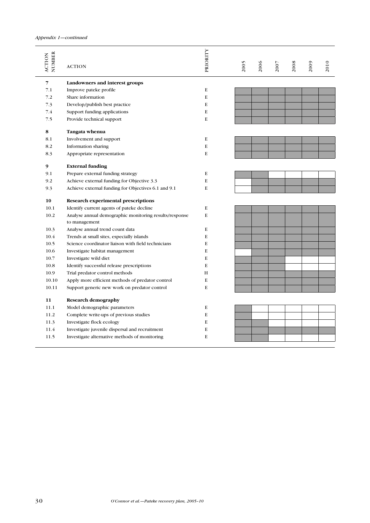| NUMBER<br><b>ACTION</b> | <b>ACTION</b>                                                           | PRIORITY | 2005 | 2006 | 2007 | 2008 | 2009 | 2010 |
|-------------------------|-------------------------------------------------------------------------|----------|------|------|------|------|------|------|
| 7                       | Landowners and interest groups                                          |          |      |      |      |      |      |      |
| 7.1                     | Improve pateke profile                                                  | E        |      |      |      |      |      |      |
| 7.2                     | Share information                                                       | E        |      |      |      |      |      |      |
| 7.3                     | Develop/publish best practice                                           | E        |      |      |      |      |      |      |
| 7.4                     | Support funding applications                                            | E        |      |      |      |      |      |      |
| 7.5                     | Provide technical support                                               | E        |      |      |      |      |      |      |
| 8                       | Tangata whenua                                                          |          |      |      |      |      |      |      |
| 8.1                     | Involvement and support                                                 | E        |      |      |      |      |      |      |
| 8.2                     | Information sharing                                                     | E        |      |      |      |      |      |      |
| 8.3                     | Appropriate representation                                              | E        |      |      |      |      |      |      |
| 9                       | <b>External funding</b>                                                 |          |      |      |      |      |      |      |
| 9.1                     | Prepare external funding strategy                                       | E        |      |      |      |      |      |      |
| 9.2                     | Achieve external funding for Objective 3.3                              | E        |      |      |      |      |      |      |
| 9.3                     | Achieve external funding for Objectives 6.1 and 9.1                     | E        |      |      |      |      |      |      |
| 10                      | Research experimental prescriptions                                     |          |      |      |      |      |      |      |
| 10.1                    | Identify current agents of pateke decline                               | E        |      |      |      |      |      |      |
| 10.2                    | Analyse annual demographic monitoring results/response<br>to management | E        |      |      |      |      |      |      |
| 10.3                    | Analyse annual trend count data                                         | E        |      |      |      |      |      |      |
| 10.4                    | Trends at small sites, especially islands                               | E        |      |      |      |      |      |      |
| 10.5                    | Science coordinator liaison with field technicians                      | E        |      |      |      |      |      |      |
| 10.6                    | Investigate habitat management                                          | E        |      |      |      |      |      |      |
| 10.7                    | Investigate wild diet                                                   | E        |      |      |      |      |      |      |
| 10.8                    | Identify successful release prescriptions                               | E        |      |      |      |      |      |      |
| 10.9                    | Trial predator control methods                                          | H        |      |      |      |      |      |      |
| 10.10                   | Apply more efficient methods of predator control                        | E        |      |      |      |      |      |      |
| 10.11                   | Support generic new work on predator control                            | E        |      |      |      |      |      |      |
| 11                      | <b>Research demography</b>                                              |          |      |      |      |      |      |      |
|                         | Model demographic parameters                                            | E        |      |      |      |      |      |      |
| 11.1                    |                                                                         |          |      |      |      |      |      |      |
| 11.2                    | Complete write-ups of previous studies                                  | E        |      |      |      |      |      |      |
| 11.3                    | Investigate flock ecology                                               | E        |      |      |      |      |      |      |
| 11.4                    | Investigate juvenile dispersal and recruitment                          | E        |      |      |      |      |      |      |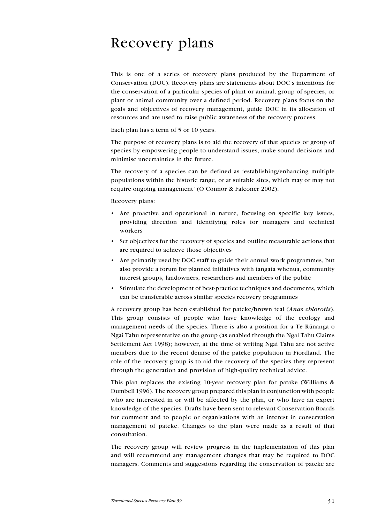# Recovery plans

This is one of a series of recovery plans produced by the Department of Conservation (DOC). Recovery plans are statements about DOC's intentions for the conservation of a particular species of plant or animal, group of species, or plant or animal community over a defined period. Recovery plans focus on the goals and objectives of recovery management, guide DOC in its allocation of resources and are used to raise public awareness of the recovery process.

Each plan has a term of 5 or 10 years.

The purpose of recovery plans is to aid the recovery of that species or group of species by empowering people to understand issues, make sound decisions and minimise uncertainties in the future.

The recovery of a species can be defined as 'establishing/enhancing multiple populations within the historic range, or at suitable sites, which may or may not require ongoing management' (O'Connor & Falconer 2002).

Recovery plans:

- Are proactive and operational in nature, focusing on specific key issues, providing direction and identifying roles for managers and technical workers
- Set objectives for the recovery of species and outline measurable actions that are required to achieve those objectives
- Are primarily used by DOC staff to guide their annual work programmes, but also provide a forum for planned initiatives with tangata whenua, community interest groups, landowners, researchers and members of the public
- Stimulate the development of best-practice techniques and documents, which can be transferable across similar species recovery programmes •

A recovery group has been established for pateke/brown teal (Anas chlorotis). This group consists of people who have knowledge of the ecology and management needs of the species. There is also a position for a Te Rūnanga o Ngai Tahu representative on the group (as enabled through the Ngai Tahu Claims Settlement Act 1998); however, at the time of writing Ngai Tahu are not active members due to the recent demise of the pateke population in Fiordland. The role of the recovery group is to aid the recovery of the species they represent through the generation and provision of high-quality technical advice.

This plan replaces the existing 10-year recovery plan for patake (Williams & Dumbell 1996). The recovery group prepared this plan in conjunction with people who are interested in or will be affected by the plan, or who have an expert knowledge of the species. Drafts have been sent to relevant Conservation Boards for comment and to people or organisations with an interest in conservation management of pateke. Changes to the plan were made as a result of that consultation.

The recovery group will review progress in the implementation of this plan and will recommend any management changes that may be required to DOC managers. Comments and suggestions regarding the conservation of pateke are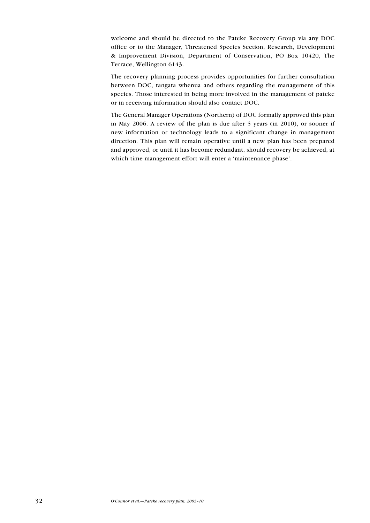welcome and should be directed to the Pateke Recovery Group via any DOC office or to the Manager, Threatened Species Section, Research, Development & Improvement Division, Department of Conservation, PO Box 10420, The Terrace, Wellington 6143.

The recovery planning process provides opportunities for further consultation between DOC, tangata whenua and others regarding the management of this species. Those interested in being more involved in the management of pateke or in receiving information should also contact DOC.

The General Manager Operations (Northern) of DOC formally approved this plan in May 2006. A review of the plan is due after 5 years (in 2010), or sooner if new information or technology leads to a significant change in management direction. This plan will remain operative until a new plan has been prepared and approved, or until it has become redundant, should recovery be achieved, at which time management effort will enter a 'maintenance phase'.